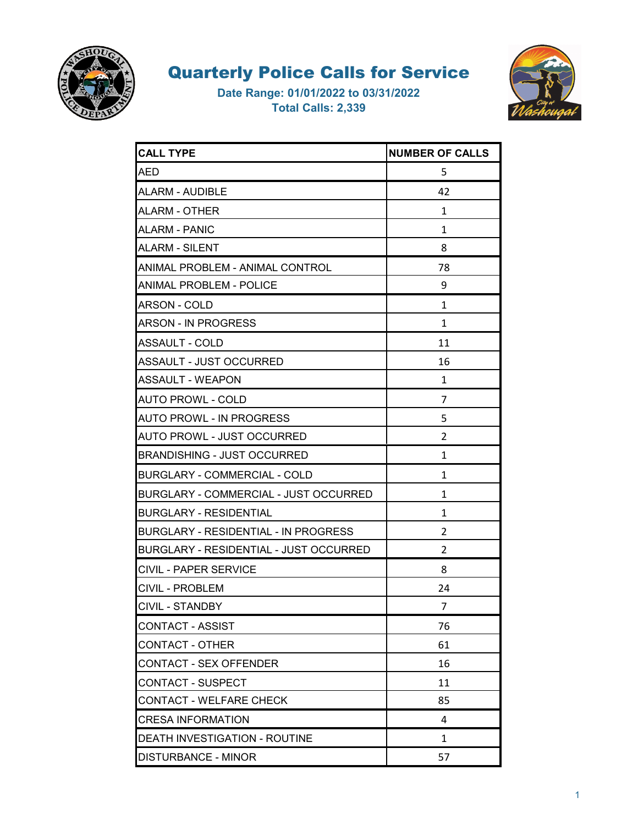



| <b>CALL TYPE</b>                            | <b>NUMBER OF CALLS</b> |
|---------------------------------------------|------------------------|
| AED                                         | 5                      |
| ALARM - AUDIBLE                             | 42                     |
| ALARM - OTHER                               | 1                      |
| ALARM - PANIC                               | 1                      |
| <b>ALARM - SILENT</b>                       | 8                      |
| ANIMAL PROBLEM - ANIMAL CONTROL             | 78                     |
| ANIMAL PROBLEM - POLICE                     | 9                      |
| <b>ARSON - COLD</b>                         | 1                      |
| ARSON - IN PROGRESS                         | 1                      |
| ASSAULT - COLD                              | 11                     |
| <b>ASSAULT - JUST OCCURRED</b>              | 16                     |
| <b>ASSAULT - WEAPON</b>                     | 1                      |
| <b>AUTO PROWL - COLD</b>                    | 7                      |
| <b>AUTO PROWL - IN PROGRESS</b>             | 5                      |
| AUTO PROWL - JUST OCCURRED                  | $\overline{2}$         |
| <b>BRANDISHING - JUST OCCURRED</b>          | 1                      |
| <b>BURGLARY - COMMERCIAL - COLD</b>         | 1                      |
| BURGLARY - COMMERCIAL - JUST OCCURRED       | 1                      |
| <b>BURGLARY - RESIDENTIAL</b>               | 1                      |
| <b>BURGLARY - RESIDENTIAL - IN PROGRESS</b> | 2                      |
| BURGLARY - RESIDENTIAL - JUST OCCURRED      | $\overline{2}$         |
| CIVIL - PAPER SERVICE                       | 8                      |
| CIVIL - PROBLEM                             | 24                     |
| CIVIL - STANDBY                             | $\overline{7}$         |
| <b>CONTACT - ASSIST</b>                     | 76                     |
| <b>CONTACT - OTHER</b>                      | 61                     |
| CONTACT - SEX OFFENDER                      | 16                     |
| <b>CONTACT - SUSPECT</b>                    | 11                     |
| CONTACT - WELFARE CHECK                     | 85                     |
| <b>CRESA INFORMATION</b>                    | 4                      |
| DEATH INVESTIGATION - ROUTINE               | 1                      |
| <b>DISTURBANCE - MINOR</b>                  | 57                     |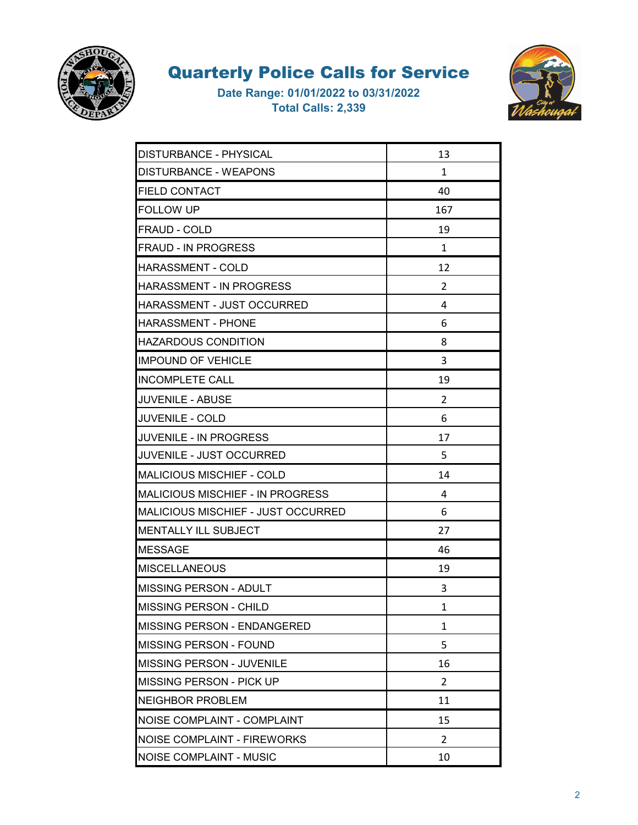



| DISTURBANCE - PHYSICAL                  | 13             |
|-----------------------------------------|----------------|
| DISTURBANCE - WEAPONS                   | 1              |
| <b>FIELD CONTACT</b>                    | 40             |
| <b>FOLLOW UP</b>                        | 167            |
| FRAUD - COLD                            | 19             |
| <b>FRAUD - IN PROGRESS</b>              | 1              |
| <b>HARASSMENT - COLD</b>                | 12             |
| <b>HARASSMENT - IN PROGRESS</b>         | 2              |
| <b>HARASSMENT - JUST OCCURRED</b>       | 4              |
| <b>HARASSMENT - PHONE</b>               | 6              |
| <b>HAZARDOUS CONDITION</b>              | 8              |
| <b>IMPOUND OF VEHICLE</b>               | 3              |
| <b>INCOMPLETE CALL</b>                  | 19             |
| <b>JUVENILE - ABUSE</b>                 | 2              |
| <b>JUVENILE - COLD</b>                  | 6              |
| <b>JUVENILE - IN PROGRESS</b>           | 17             |
| <b>JUVENILE - JUST OCCURRED</b>         | 5              |
| <b>MALICIOUS MISCHIEF - COLD</b>        | 14             |
| <b>MALICIOUS MISCHIEF - IN PROGRESS</b> | 4              |
| MALICIOUS MISCHIEF - JUST OCCURRED      | 6              |
| <b>MENTALLY ILL SUBJECT</b>             | 27             |
| IMESSAGE                                | 46             |
| <b>MISCELLANEOUS</b>                    | 19             |
| <b>MISSING PERSON - ADULT</b>           | 3              |
| MISSING PERSON - CHILD                  | 1              |
| MISSING PERSON - ENDANGERED             | 1              |
| <b>MISSING PERSON - FOUND</b>           | 5              |
| MISSING PERSON - JUVENILE               | 16             |
| <b>MISSING PERSON - PICK UP</b>         | $\overline{2}$ |
| <b>NEIGHBOR PROBLEM</b>                 | 11             |
| NOISE COMPLAINT - COMPLAINT             | 15             |
| <b>NOISE COMPLAINT - FIREWORKS</b>      | 2              |
| <b>NOISE COMPLAINT - MUSIC</b>          | 10             |
|                                         |                |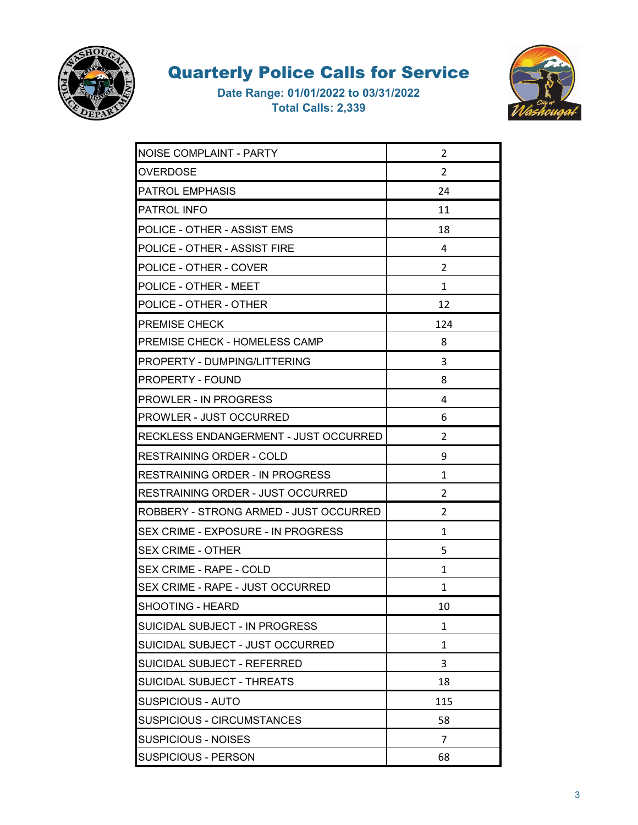



| NOISE COMPLAINT - PARTY                | 2              |
|----------------------------------------|----------------|
| <b>OVERDOSE</b>                        | 2              |
| PATROL EMPHASIS                        | 24             |
| <b>PATROL INFO</b>                     | 11             |
| POLICE - OTHER - ASSIST EMS            | 18             |
| POLICE - OTHER - ASSIST FIRE           | 4              |
| POLICE - OTHER - COVER                 | 2              |
| POLICE - OTHER - MEET                  | 1              |
| POLICE - OTHER - OTHER                 | 12             |
| <b>PREMISE CHECK</b>                   | 124            |
| IPREMISE CHECK - HOMELESS CAMP         | 8              |
| <b>PROPERTY - DUMPING/LITTERING</b>    | 3              |
| <b>PROPERTY - FOUND</b>                | 8              |
| <b>PROWLER - IN PROGRESS</b>           | 4              |
| <b>PROWLER - JUST OCCURRED</b>         | 6              |
| RECKLESS ENDANGERMENT - JUST OCCURRED  | 2              |
| RESTRAINING ORDER - COLD               | 9              |
| RESTRAINING ORDER - IN PROGRESS        | 1              |
| RESTRAINING ORDER - JUST OCCURRED      | 2              |
| ROBBERY - STRONG ARMED - JUST OCCURRED | 2              |
| SEX CRIME - EXPOSURE - IN PROGRESS     | 1              |
| <b>SEX CRIME - OTHER</b>               | 5              |
| SEX CRIME - RAPE - COLD                | 1              |
| SEX CRIME - RAPE - JUST OCCURRED       | 1              |
| SHOOTING - HEARD                       | 10             |
| SUICIDAL SUBJECT - IN PROGRESS         | 1              |
| SUICIDAL SUBJECT - JUST OCCURRED       | $\mathbf{1}$   |
| SUICIDAL SUBJECT - REFERRED            | 3              |
| SUICIDAL SUBJECT - THREATS             | 18             |
| <b>SUSPICIOUS - AUTO</b>               | 115            |
| <b>SUSPICIOUS - CIRCUMSTANCES</b>      | 58             |
| <b>SUSPICIOUS - NOISES</b>             | $\overline{7}$ |
| <b>SUSPICIOUS - PERSON</b>             | 68             |